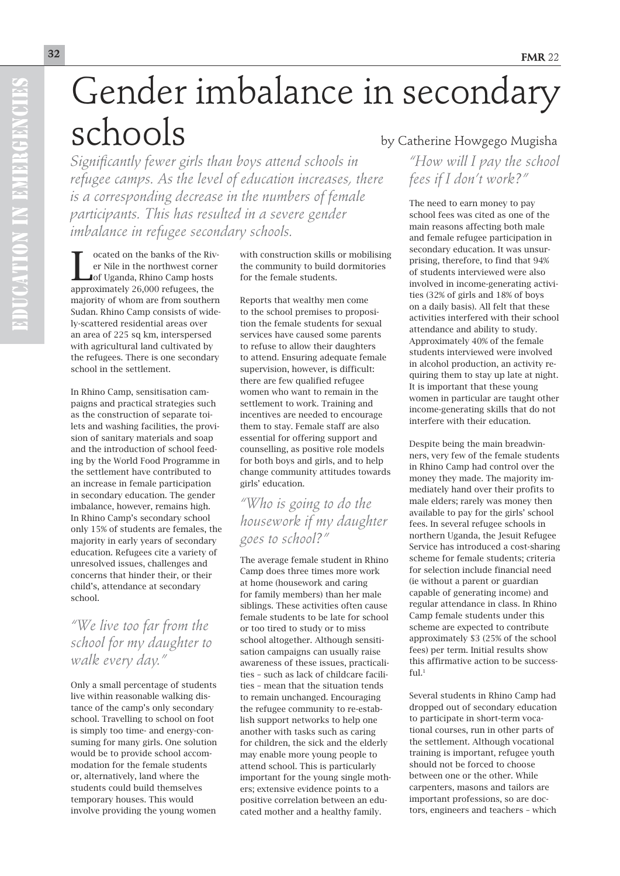## Gender imbalance in secondary  $sc$ hools by Catherine Howgego Mugisha

*Significantly fewer girls than boys attend schools in refugee camps. As the level of education increases, there is a corresponding decrease in the numbers of female participants. This has resulted in a severe gender imbalance in refugee secondary schools.* 

Cocated on the banks of the River Nile in the northwest corner<br>
Lof Uganda, Rhino Camp hosts<br>
approximately 26,000 refugees, the ocated on the banks of the River Nile in the northwest corner of Uganda, Rhino Camp hosts majority of whom are from southern Sudan. Rhino Camp consists of widely-scattered residential areas over an area of 225 sq km, interspersed with agricultural land cultivated by the refugees. There is one secondary school in the settlement.

In Rhino Camp, sensitisation campaigns and practical strategies such as the construction of separate toilets and washing facilities, the provision of sanitary materials and soap and the introduction of school feeding by the World Food Programme in the settlement have contributed to an increase in female participation in secondary education. The gender imbalance, however, remains high. In Rhino Camp's secondary school only 15% of students are females, the majority in early years of secondary education. Refugees cite a variety of unresolved issues, challenges and concerns that hinder their, or their child's, attendance at secondary school.

## *"We live too far from the school for my daughter to walk every day."*

Only a small percentage of students live within reasonable walking distance of the camp's only secondary school. Travelling to school on foot is simply too time- and energy-consuming for many girls. One solution would be to provide school accommodation for the female students or, alternatively, land where the students could build themselves temporary houses. This would involve providing the young women

with construction skills or mobilising the community to build dormitories for the female students.

Reports that wealthy men come to the school premises to proposition the female students for sexual services have caused some parents to refuse to allow their daughters to attend. Ensuring adequate female supervision, however, is difficult: there are few qualified refugee women who want to remain in the settlement to work. Training and incentives are needed to encourage them to stay. Female staff are also essential for offering support and counselling, as positive role models for both boys and girls, and to help change community attitudes towards girls' education.

*"Who is going to do the housework if my daughter goes to school?"* 

The average female student in Rhino Camp does three times more work at home (housework and caring for family members) than her male siblings. These activities often cause female students to be late for school or too tired to study or to miss school altogether. Although sensitisation campaigns can usually raise awareness of these issues, practicalities – such as lack of childcare facilities – mean that the situation tends to remain unchanged. Encouraging the refugee community to re-establish support networks to help one another with tasks such as caring for children, the sick and the elderly may enable more young people to attend school. This is particularly important for the young single mothers; extensive evidence points to a positive correlation between an educated mother and a healthy family.

*"How will I pay the school fees if I don't work?"*

The need to earn money to pay school fees was cited as one of the main reasons affecting both male and female refugee participation in secondary education. It was unsurprising, therefore, to find that 94% of students interviewed were also involved in income-generating activities (32% of girls and 18% of boys on a daily basis). All felt that these activities interfered with their school attendance and ability to study. Approximately 40% of the female students interviewed were involved in alcohol production, an activity requiring them to stay up late at night. It is important that these young women in particular are taught other income-generating skills that do not interfere with their education.

Despite being the main breadwinners, very few of the female students in Rhino Camp had control over the money they made. The majority immediately hand over their profits to male elders; rarely was money then available to pay for the girls' school fees. In several refugee schools in northern Uganda, the Jesuit Refugee Service has introduced a cost-sharing scheme for female students; criteria for selection include financial need (ie without a parent or guardian capable of generating income) and regular attendance in class. In Rhino Camp female students under this scheme are expected to contribute approximately \$3 (25% of the school fees) per term. Initial results show this affirmative action to be success $fu1<sup>1</sup>$ 

Several students in Rhino Camp had dropped out of secondary education to participate in short-term vocational courses, run in other parts of the settlement. Although vocational training is important, refugee youth should not be forced to choose between one or the other. While carpenters, masons and tailors are important professions, so are doctors, engineers and teachers – which